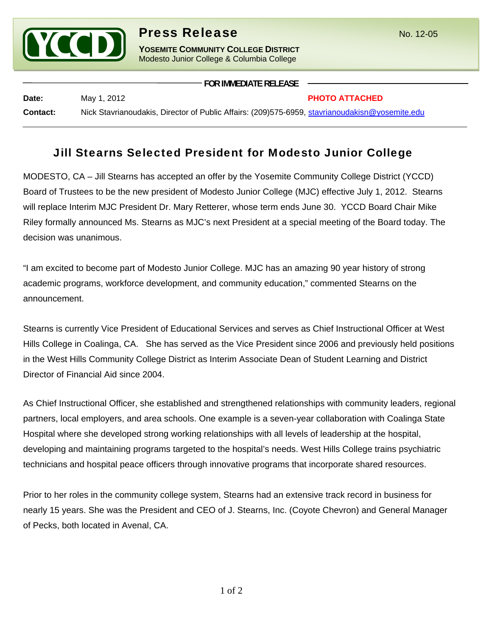

## **Press Release** No. 12-05

**YOSEMITE COMMUNITY COLLEGE DISTRICT** Modesto Junior College & Columbia College

| Date:           | May 1, 2012                                                                                    | <b>PHOTO ATTACHED</b> |
|-----------------|------------------------------------------------------------------------------------------------|-----------------------|
| <b>Contact:</b> | Nick Stavrianoudakis, Director of Public Affairs: (209)575-6959, stavrianoudakisn@yosemite.edu |                       |

**FOR IMMEDIATE RELEASE**

## Jill Stearns Selected President for Modesto Junior College

MODESTO, CA – Jill Stearns has accepted an offer by the Yosemite Community College District (YCCD) Board of Trustees to be the new president of Modesto Junior College (MJC) effective July 1, 2012. Stearns will replace Interim MJC President Dr. Mary Retterer, whose term ends June 30. YCCD Board Chair Mike Riley formally announced Ms. Stearns as MJC's next President at a special meeting of the Board today. The decision was unanimous.

"I am excited to become part of Modesto Junior College. MJC has an amazing 90 year history of strong academic programs, workforce development, and community education," commented Stearns on the announcement.

Stearns is currently Vice President of Educational Services and serves as Chief Instructional Officer at West Hills College in Coalinga, CA. She has served as the Vice President since 2006 and previously held positions in the West Hills Community College District as Interim Associate Dean of Student Learning and District Director of Financial Aid since 2004.

As Chief Instructional Officer, she established and strengthened relationships with community leaders, regional partners, local employers, and area schools. One example is a seven-year collaboration with Coalinga State Hospital where she developed strong working relationships with all levels of leadership at the hospital, developing and maintaining programs targeted to the hospital's needs. West Hills College trains psychiatric technicians and hospital peace officers through innovative programs that incorporate shared resources.

Prior to her roles in the community college system, Stearns had an extensive track record in business for nearly 15 years. She was the President and CEO of J. Stearns, Inc. (Coyote Chevron) and General Manager of Pecks, both located in Avenal, CA.